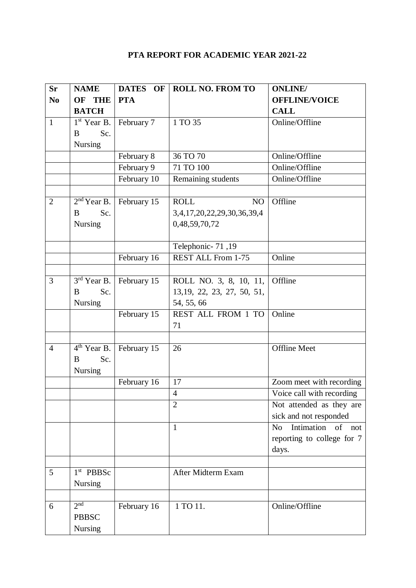# **PTA REPORT FOR ACADEMIC YEAR 2021-22**

| <b>Sr</b>      | <b>NAME</b>           | DATES OF    | <b>ROLL NO. FROM TO</b>     | <b>ONLINE</b>                       |
|----------------|-----------------------|-------------|-----------------------------|-------------------------------------|
| N <sub>0</sub> | OF THE                | <b>PTA</b>  |                             | <b>OFFLINE/VOICE</b>                |
|                | <b>BATCH</b>          |             |                             | <b>CALL</b>                         |
| $\mathbf{1}$   | $1st$ Year B.         | February 7  | 1 TO 35                     | Online/Offline                      |
|                | Sc.<br>B              |             |                             |                                     |
|                | <b>Nursing</b>        |             |                             |                                     |
|                |                       | February 8  | 36 TO 70                    | Online/Offline                      |
|                |                       | February 9  | 71 TO 100                   | Online/Offline                      |
|                |                       | February 10 | Remaining students          | Online/Offline                      |
|                |                       |             |                             |                                     |
| $\overline{2}$ | $2nd$ Year B.         | February 15 | <b>ROLL</b><br>NO           | Offline                             |
|                | Sc.<br>B              |             | 3,4,17,20,22,29,30,36,39,4  |                                     |
|                | Nursing               |             | 0,48,59,70,72               |                                     |
|                |                       |             |                             |                                     |
|                |                       |             | Telephonic- 71,19           |                                     |
|                |                       | February 16 | <b>REST ALL From 1-75</b>   | Online                              |
|                |                       |             |                             |                                     |
| 3              | $3rd$ Year B.         | February 15 | ROLL NO. 3, 8, 10, 11,      | Offline                             |
|                | Sc.<br>B              |             | 13, 19, 22, 23, 27, 50, 51, |                                     |
|                | Nursing               |             | 54, 55, 66                  |                                     |
|                |                       | February 15 | REST ALL FROM 1 TO          | Online                              |
|                |                       |             | 71                          |                                     |
|                |                       |             |                             |                                     |
| $\overline{4}$ | $4th$ Year B.         | February 15 | 26                          | <b>Offline Meet</b>                 |
|                | Sc.<br>B              |             |                             |                                     |
|                | Nursing               |             |                             |                                     |
|                |                       | February 16 | 17                          | Zoom meet with recording            |
|                |                       |             | $\overline{4}$              | Voice call with recording           |
|                |                       |             | $\overline{2}$              | Not attended as they are            |
|                |                       |             |                             | sick and not responded              |
|                |                       |             | $\mathbf{1}$                | Intimation of not<br>N <sub>o</sub> |
|                |                       |             |                             | reporting to college for 7          |
|                |                       |             |                             | days.                               |
|                |                       |             |                             |                                     |
| 5              | 1 <sup>st</sup> PBBSc |             | After Midterm Exam          |                                     |
|                | Nursing               |             |                             |                                     |
|                |                       |             |                             |                                     |
| 6              | 2 <sub>nd</sub>       | February 16 | 1 TO 11.                    | Online/Offline                      |
|                | <b>PBBSC</b>          |             |                             |                                     |
|                | Nursing               |             |                             |                                     |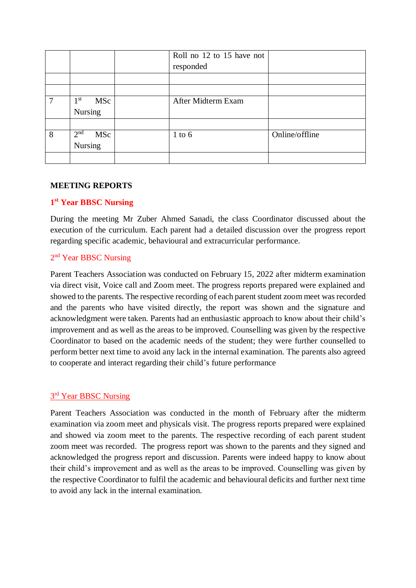|   |                        | Roll no 12 to 15 have not |                |
|---|------------------------|---------------------------|----------------|
|   |                        | responded                 |                |
|   |                        |                           |                |
|   |                        |                           |                |
| 7 | 1 <sup>st</sup><br>MSc | After Midterm Exam        |                |
|   | Nursing                |                           |                |
|   |                        |                           |                |
| 8 | 2 <sup>nd</sup><br>MSc | $1$ to $6$                | Online/offline |
|   | Nursing                |                           |                |
|   |                        |                           |                |

#### **MEETING REPORTS**

## **1 st Year BBSC Nursing**

During the meeting Mr Zuber Ahmed Sanadi, the class Coordinator discussed about the execution of the curriculum. Each parent had a detailed discussion over the progress report regarding specific academic, behavioural and extracurricular performance.

## 2<sup>nd</sup> Year BBSC Nursing

Parent Teachers Association was conducted on February 15, 2022 after midterm examination via direct visit, Voice call and Zoom meet. The progress reports prepared were explained and showed to the parents. The respective recording of each parent student zoom meet was recorded and the parents who have visited directly, the report was shown and the signature and acknowledgment were taken. Parents had an enthusiastic approach to know about their child's improvement and as well as the areas to be improved. Counselling was given by the respective Coordinator to based on the academic needs of the student; they were further counselled to perform better next time to avoid any lack in the internal examination. The parents also agreed to cooperate and interact regarding their child's future performance

## 3<sup>rd</sup> Year BBSC Nursing

Parent Teachers Association was conducted in the month of February after the midterm examination via zoom meet and physicals visit. The progress reports prepared were explained and showed via zoom meet to the parents. The respective recording of each parent student zoom meet was recorded. The progress report was shown to the parents and they signed and acknowledged the progress report and discussion. Parents were indeed happy to know about their child's improvement and as well as the areas to be improved. Counselling was given by the respective Coordinator to fulfil the academic and behavioural deficits and further next time to avoid any lack in the internal examination.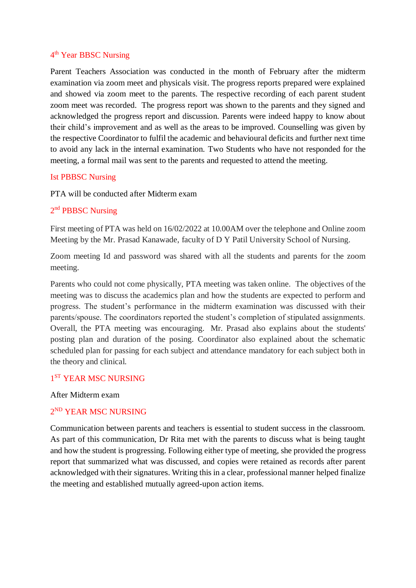#### 4<sup>th</sup> Year BBSC Nursing

Parent Teachers Association was conducted in the month of February after the midterm examination via zoom meet and physicals visit. The progress reports prepared were explained and showed via zoom meet to the parents. The respective recording of each parent student zoom meet was recorded. The progress report was shown to the parents and they signed and acknowledged the progress report and discussion. Parents were indeed happy to know about their child's improvement and as well as the areas to be improved. Counselling was given by the respective Coordinator to fulfil the academic and behavioural deficits and further next time to avoid any lack in the internal examination. Two Students who have not responded for the meeting, a formal mail was sent to the parents and requested to attend the meeting.

#### Ist PBBSC Nursing

PTA will be conducted after Midterm exam

## 2<sup>nd</sup> PBBSC Nursing

First meeting of PTA was held on 16/02/2022 at 10.00AM over the telephone and Online zoom Meeting by the Mr. Prasad Kanawade, faculty of D Y Patil University School of Nursing.

Zoom meeting Id and password was shared with all the students and parents for the zoom meeting.

Parents who could not come physically, PTA meeting was taken online. The objectives of the meeting was to discuss the academics plan and how the students are expected to perform and progress. The student's performance in the midterm examination was discussed with their parents/spouse. The coordinators reported the student's completion of stipulated assignments. Overall, the PTA meeting was encouraging. Mr. Prasad also explains about the students' posting plan and duration of the posing. Coordinator also explained about the schematic scheduled plan for passing for each subject and attendance mandatory for each subject both in the theory and clinical.

## 1<sup>ST</sup> YEAR MSC NURSING

After Midterm exam

## 2 ND YEAR MSC NURSING

Communication between parents and teachers is essential to student success in the classroom. As part of this communication, Dr Rita met with the parents to discuss what is being taught and how the student is progressing. Following either type of meeting, she provided the progress report that summarized what was discussed, and copies were retained as records after parent acknowledged with their signatures. Writing this in a clear, professional manner helped finalize the meeting and established mutually agreed-upon action items.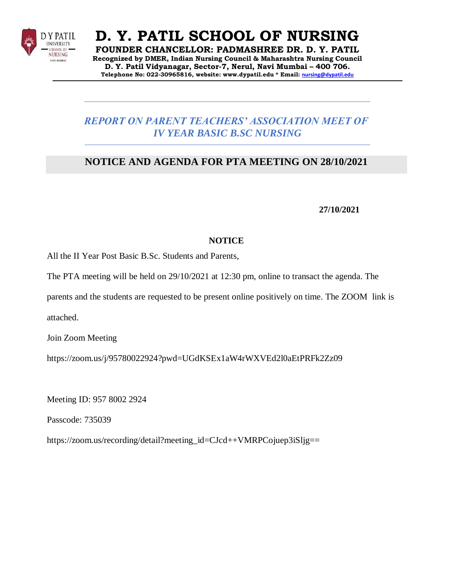

**FOUNDER CHANCELLOR: PADMASHREE DR. D. Y. PATIL Recognized by DMER, Indian Nursing Council & Maharashtra Nursing Council D. Y. Patil Vidyanagar, Sector-7, Nerul, Navi Mumbai – 400 706. Telephone No: 022-30965816, website: [www.dypatil.edu](http://www.dypatil.edu/) \* Email: [nursing@dypatil.edu](mailto:nursing@dypatil.edu)**

# *REPORT ON PARENT TEACHERS' ASSOCIATION MEET OF IV YEAR BASIC B.SC NURSING*

# **NOTICE AND AGENDA FOR PTA MEETING ON 28/10/2021**

**27/10/2021**

## **NOTICE**

All the II Year Post Basic B.Sc. Students and Parents,

The PTA meeting will be held on 29/10/2021 at 12:30 pm, online to transact the agenda. The

parents and the students are requested to be present online positively on time. The ZOOM link is

attached.

Join Zoom Meeting

https://zoom.us/j/95780022924?pwd=UGdKSEx1aW4rWXVEd2l0aEtPRFk2Zz09

Meeting ID: 957 8002 2924

Passcode: 735039

https://zoom.us/recording/detail?meeting\_id=CJcd++VMRPCojuep3iSljg==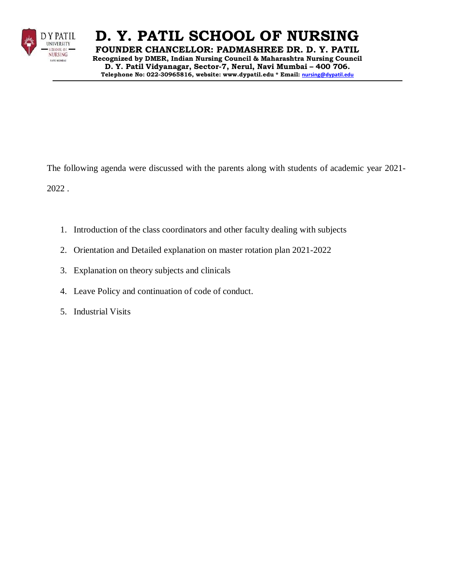

**FOUNDER CHANCELLOR: PADMASHREE DR. D. Y. PATIL Recognized by DMER, Indian Nursing Council & Maharashtra Nursing Council D. Y. Patil Vidyanagar, Sector-7, Nerul, Navi Mumbai – 400 706. Telephone No: 022-30965816, website: [www.dypatil.edu](http://www.dypatil.edu/) \* Email: [nursing@dypatil.edu](mailto:nursing@dypatil.edu)**

The following agenda were discussed with the parents along with students of academic year 2021-

2022 .

- 1. Introduction of the class coordinators and other faculty dealing with subjects
- 2. Orientation and Detailed explanation on master rotation plan 2021-2022
- 3. Explanation on theory subjects and clinicals
- 4. Leave Policy and continuation of code of conduct.
- 5. Industrial Visits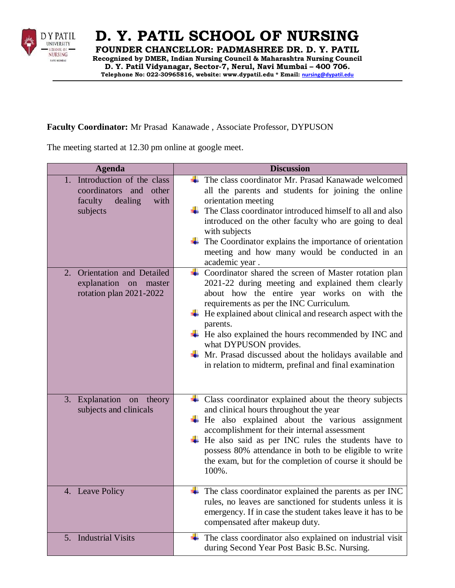

**FOUNDER CHANCELLOR: PADMASHREE DR. D. Y. PATIL Recognized by DMER, Indian Nursing Council & Maharashtra Nursing Council D. Y. Patil Vidyanagar, Sector-7, Nerul, Navi Mumbai – 400 706. Telephone No: 022-30965816, website: [www.dypatil.edu](http://www.dypatil.edu/) \* Email: [nursing@dypatil.edu](mailto:nursing@dypatil.edu)**

#### **Faculty Coordinator:** Mr Prasad Kanawade , Associate Professor, DYPUSON

The meeting started at 12.30 pm online at google meet.

| <b>Agenda</b>                                                                                       | <b>Discussion</b>                                                                                                                                                                                                                                                                                                                                                                                                                                                                                                                |
|-----------------------------------------------------------------------------------------------------|----------------------------------------------------------------------------------------------------------------------------------------------------------------------------------------------------------------------------------------------------------------------------------------------------------------------------------------------------------------------------------------------------------------------------------------------------------------------------------------------------------------------------------|
| 1. Introduction of the class<br>coordinators and<br>other<br>dealing<br>faculty<br>with<br>subjects | The class coordinator Mr. Prasad Kanawade welcomed<br>all the parents and students for joining the online<br>orientation meeting<br>The Class coordinator introduced himself to all and also<br>introduced on the other faculty who are going to deal<br>with subjects<br>The Coordinator explains the importance of orientation<br>meeting and how many would be conducted in an<br>academic year.                                                                                                                              |
| Orientation and Detailed<br>2.<br>explanation on<br>master<br>rotation plan 2021-2022               | Coordinator shared the screen of Master rotation plan<br>2021-22 during meeting and explained them clearly<br>about how the entire year works on with the<br>requirements as per the INC Curriculum.<br>He explained about clinical and research aspect with the<br>parents.<br>$\overline{\phantom{a}}$ He also explained the hours recommended by INC and<br>what DYPUSON provides.<br>$\overline{\mathbf{H}}$ Mr. Prasad discussed about the holidays available and<br>in relation to midterm, prefinal and final examination |
| 3. Explanation on<br>theory<br>subjects and clinicals                                               | Class coordinator explained about the theory subjects<br>and clinical hours throughout the year<br>$\overline{\text{+}}$ He also explained about the various assignment<br>accomplishment for their internal assessment<br>He also said as per INC rules the students have to<br>possess 80% attendance in both to be eligible to write<br>the exam, but for the completion of course it should be<br>100%.                                                                                                                      |
| 4. Leave Policy                                                                                     | The class coordinator explained the parents as per INC<br>rules, no leaves are sanctioned for students unless it is<br>emergency. If in case the student takes leave it has to be<br>compensated after makeup duty.                                                                                                                                                                                                                                                                                                              |
| 5. Industrial Visits                                                                                | The class coordinator also explained on industrial visit<br>during Second Year Post Basic B.Sc. Nursing.                                                                                                                                                                                                                                                                                                                                                                                                                         |